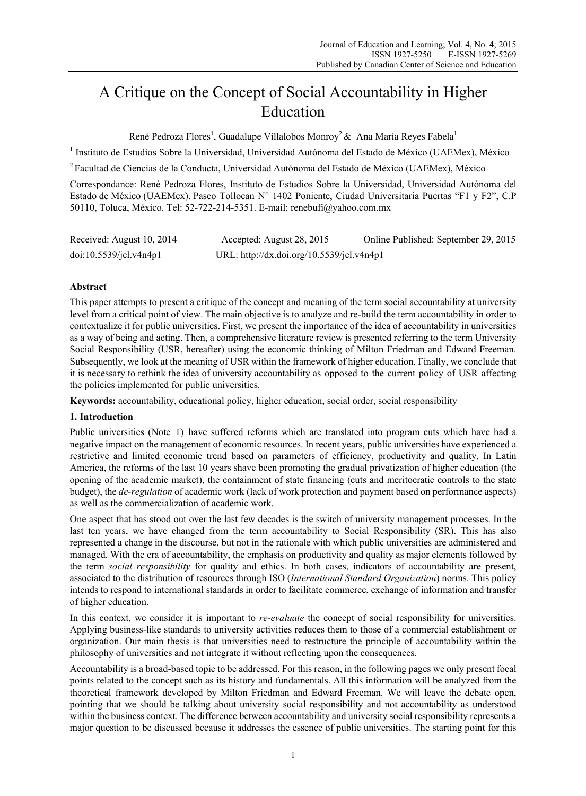# A Critique on the Concept of Social Accountability in Higher Education

René Pedroza Flores<sup>1</sup>, Guadalupe Villalobos Monroy<sup>2</sup> & Ana María Reyes Fabela<sup>1</sup>

<sup>1</sup> Instituto de Estudios Sobre la Universidad, Universidad Autónoma del Estado de México (UAEMex), México

2 Facultad de Ciencias de la Conducta, Universidad Autónoma del Estado de México (UAEMex), México

Correspondance: René Pedroza Flores, Instituto de Estudios Sobre la Universidad, Universidad Autónoma del Estado de México (UAEMex). Paseo Tollocan N° 1402 Poniente, Ciudad Universitaria Puertas "F1 y F2", C.P 50110, Toluca, México. Tel: 52-722-214-5351. E-mail: renebufi@yahoo.com.mx

| Received: August 10, 2014 | Accepted: August 28, 2015                 | Online Published: September 29, 2015 |
|---------------------------|-------------------------------------------|--------------------------------------|
| doi:10.5539/jel.v4n4p1    | URL: http://dx.doi.org/10.5539/jel.v4n4p1 |                                      |

# **Abstract**

This paper attempts to present a critique of the concept and meaning of the term social accountability at university level from a critical point of view. The main objective is to analyze and re-build the term accountability in order to contextualize it for public universities. First, we present the importance of the idea of accountability in universities as a way of being and acting. Then, a comprehensive literature review is presented referring to the term University Social Responsibility (USR, hereafter) using the economic thinking of Milton Friedman and Edward Freeman. Subsequently, we look at the meaning of USR within the framework of higher education. Finally, we conclude that it is necessary to rethink the idea of university accountability as opposed to the current policy of USR affecting the policies implemented for public universities.

**Keywords:** accountability, educational policy, higher education, social order, social responsibility

# **1. Introduction**

Public universities (Note 1) have suffered reforms which are translated into program cuts which have had a negative impact on the management of economic resources. In recent years, public universities have experienced a restrictive and limited economic trend based on parameters of efficiency, productivity and quality. In Latin America, the reforms of the last 10 years shave been promoting the gradual privatization of higher education (the opening of the academic market), the containment of state financing (cuts and meritocratic controls to the state budget), the *de-regulation* of academic work (lack of work protection and payment based on performance aspects) as well as the commercialization of academic work.

One aspect that has stood out over the last few decades is the switch of university management processes. In the last ten years, we have changed from the term accountability to Social Responsibility (SR). This has also represented a change in the discourse, but not in the rationale with which public universities are administered and managed. With the era of accountability, the emphasis on productivity and quality as major elements followed by the term *social responsibility* for quality and ethics. In both cases, indicators of accountability are present, associated to the distribution of resources through ISO (*International Standard Organization*) norms. This policy intends to respond to international standards in order to facilitate commerce, exchange of information and transfer of higher education.

In this context, we consider it is important to *re-evaluate* the concept of social responsibility for universities. Applying business-like standards to university activities reduces them to those of a commercial establishment or organization. Our main thesis is that universities need to restructure the principle of accountability within the philosophy of universities and not integrate it without reflecting upon the consequences.

Accountability is a broad-based topic to be addressed. For this reason, in the following pages we only present focal points related to the concept such as its history and fundamentals. All this information will be analyzed from the theoretical framework developed by Milton Friedman and Edward Freeman. We will leave the debate open, pointing that we should be talking about university social responsibility and not accountability as understood within the business context. The difference between accountability and university social responsibility represents a major question to be discussed because it addresses the essence of public universities. The starting point for this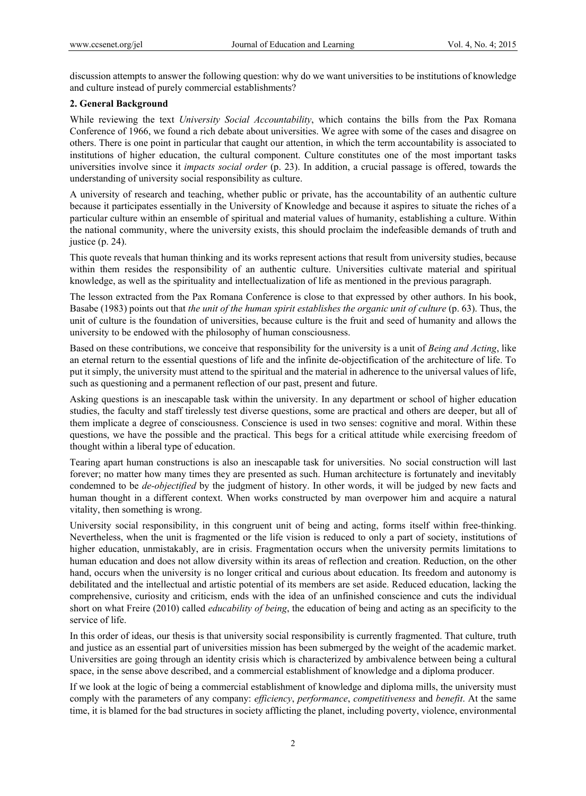discussion attempts to answer the following question: why do we want universities to be institutions of knowledge and culture instead of purely commercial establishments?

# **2. General Background**

While reviewing the text *University Social Accountability*, which contains the bills from the Pax Romana Conference of 1966, we found a rich debate about universities. We agree with some of the cases and disagree on others. There is one point in particular that caught our attention, in which the term accountability is associated to institutions of higher education, the cultural component. Culture constitutes one of the most important tasks universities involve since it *impacts social order* (p. 23). In addition, a crucial passage is offered, towards the understanding of university social responsibility as culture.

A university of research and teaching, whether public or private, has the accountability of an authentic culture because it participates essentially in the University of Knowledge and because it aspires to situate the riches of a particular culture within an ensemble of spiritual and material values of humanity, establishing a culture. Within the national community, where the university exists, this should proclaim the indefeasible demands of truth and justice (p. 24).

This quote reveals that human thinking and its works represent actions that result from university studies, because within them resides the responsibility of an authentic culture. Universities cultivate material and spiritual knowledge, as well as the spirituality and intellectualization of life as mentioned in the previous paragraph.

The lesson extracted from the Pax Romana Conference is close to that expressed by other authors. In his book, Basabe (1983) points out that *the unit of the human spirit establishes the organic unit of culture* (p. 63). Thus, the unit of culture is the foundation of universities, because culture is the fruit and seed of humanity and allows the university to be endowed with the philosophy of human consciousness.

Based on these contributions, we conceive that responsibility for the university is a unit of *Being and Acting*, like an eternal return to the essential questions of life and the infinite de-objectification of the architecture of life. To put it simply, the university must attend to the spiritual and the material in adherence to the universal values of life, such as questioning and a permanent reflection of our past, present and future.

Asking questions is an inescapable task within the university. In any department or school of higher education studies, the faculty and staff tirelessly test diverse questions, some are practical and others are deeper, but all of them implicate a degree of consciousness. Conscience is used in two senses: cognitive and moral. Within these questions, we have the possible and the practical. This begs for a critical attitude while exercising freedom of thought within a liberal type of education.

Tearing apart human constructions is also an inescapable task for universities. No social construction will last forever; no matter how many times they are presented as such. Human architecture is fortunately and inevitably condemned to be *de-objectified* by the judgment of history. In other words, it will be judged by new facts and human thought in a different context. When works constructed by man overpower him and acquire a natural vitality, then something is wrong.

University social responsibility, in this congruent unit of being and acting, forms itself within free-thinking. Nevertheless, when the unit is fragmented or the life vision is reduced to only a part of society, institutions of higher education, unmistakably, are in crisis. Fragmentation occurs when the university permits limitations to human education and does not allow diversity within its areas of reflection and creation. Reduction, on the other hand, occurs when the university is no longer critical and curious about education. Its freedom and autonomy is debilitated and the intellectual and artistic potential of its members are set aside. Reduced education, lacking the comprehensive, curiosity and criticism, ends with the idea of an unfinished conscience and cuts the individual short on what Freire (2010) called *educability of being*, the education of being and acting as an specificity to the service of life.

In this order of ideas, our thesis is that university social responsibility is currently fragmented. That culture, truth and justice as an essential part of universities mission has been submerged by the weight of the academic market. Universities are going through an identity crisis which is characterized by ambivalence between being a cultural space, in the sense above described, and a commercial establishment of knowledge and a diploma producer.

If we look at the logic of being a commercial establishment of knowledge and diploma mills, the university must comply with the parameters of any company: *efficiency*, *performance*, *competitiveness* and *benefit*. At the same time, it is blamed for the bad structures in society afflicting the planet, including poverty, violence, environmental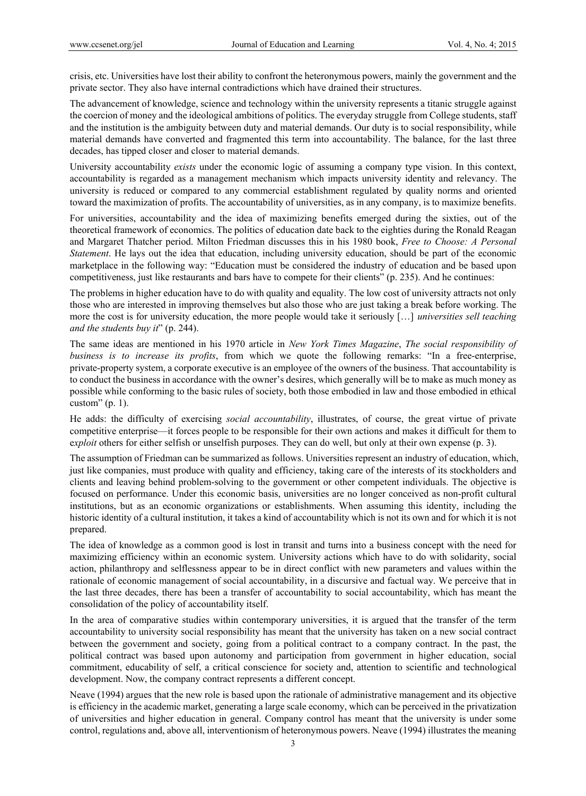crisis, etc. Universities have lost their ability to confront the heteronymous powers, mainly the government and the private sector. They also have internal contradictions which have drained their structures.

The advancement of knowledge, science and technology within the university represents a titanic struggle against the coercion of money and the ideological ambitions of politics. The everyday struggle from College students, staff and the institution is the ambiguity between duty and material demands. Our duty is to social responsibility, while material demands have converted and fragmented this term into accountability. The balance, for the last three decades, has tipped closer and closer to material demands.

University accountability *exists* under the economic logic of assuming a company type vision. In this context, accountability is regarded as a management mechanism which impacts university identity and relevancy. The university is reduced or compared to any commercial establishment regulated by quality norms and oriented toward the maximization of profits. The accountability of universities, as in any company, is to maximize benefits.

For universities, accountability and the idea of maximizing benefits emerged during the sixties, out of the theoretical framework of economics. The politics of education date back to the eighties during the Ronald Reagan and Margaret Thatcher period. Milton Friedman discusses this in his 1980 book, *Free to Choose: A Personal Statement*. He lays out the idea that education, including university education, should be part of the economic marketplace in the following way: "Education must be considered the industry of education and be based upon competitiveness, just like restaurants and bars have to compete for their clients" (p. 235). And he continues:

The problems in higher education have to do with quality and equality. The low cost of university attracts not only those who are interested in improving themselves but also those who are just taking a break before working. The more the cost is for university education, the more people would take it seriously […] *universities sell teaching and the students buy it*" (p. 244).

The same ideas are mentioned in his 1970 article in *New York Times Magazine*, *The social responsibility of business is to increase its profits*, from which we quote the following remarks: "In a free-enterprise, private-property system, a corporate executive is an employee of the owners of the business. That accountability is to conduct the business in accordance with the owner's desires, which generally will be to make as much money as possible while conforming to the basic rules of society, both those embodied in law and those embodied in ethical custom"  $(p. 1)$ .

He adds: the difficulty of exercising *social accountability*, illustrates, of course, the great virtue of private competitive enterprise—it forces people to be responsible for their own actions and makes it difficult for them to e*xploit* others for either selfish or unselfish purposes. They can do well, but only at their own expense (p. 3).

The assumption of Friedman can be summarized as follows. Universities represent an industry of education, which, just like companies, must produce with quality and efficiency, taking care of the interests of its stockholders and clients and leaving behind problem-solving to the government or other competent individuals. The objective is focused on performance. Under this economic basis, universities are no longer conceived as non-profit cultural institutions, but as an economic organizations or establishments. When assuming this identity, including the historic identity of a cultural institution, it takes a kind of accountability which is not its own and for which it is not prepared.

The idea of knowledge as a common good is lost in transit and turns into a business concept with the need for maximizing efficiency within an economic system. University actions which have to do with solidarity, social action, philanthropy and selflessness appear to be in direct conflict with new parameters and values within the rationale of economic management of social accountability, in a discursive and factual way. We perceive that in the last three decades, there has been a transfer of accountability to social accountability, which has meant the consolidation of the policy of accountability itself.

In the area of comparative studies within contemporary universities, it is argued that the transfer of the term accountability to university social responsibility has meant that the university has taken on a new social contract between the government and society, going from a political contract to a company contract. In the past, the political contract was based upon autonomy and participation from government in higher education, social commitment, educability of self, a critical conscience for society and, attention to scientific and technological development. Now, the company contract represents a different concept.

Neave (1994) argues that the new role is based upon the rationale of administrative management and its objective is efficiency in the academic market, generating a large scale economy, which can be perceived in the privatization of universities and higher education in general. Company control has meant that the university is under some control, regulations and, above all, interventionism of heteronymous powers. Neave (1994) illustrates the meaning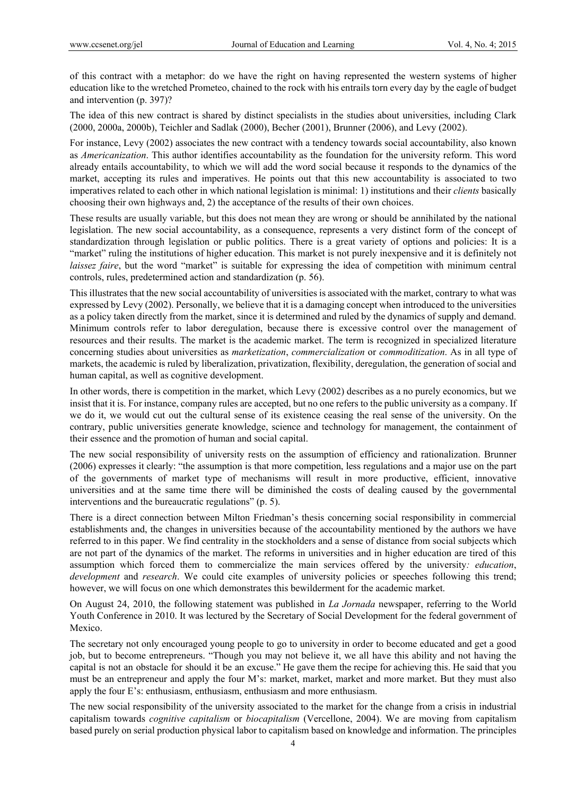of this contract with a metaphor: do we have the right on having represented the western systems of higher education like to the wretched Prometeo, chained to the rock with his entrails torn every day by the eagle of budget and intervention (p. 397)?

The idea of this new contract is shared by distinct specialists in the studies about universities, including Clark (2000, 2000a, 2000b), Teichler and Sadlak (2000), Becher (2001), Brunner (2006), and Levy (2002).

For instance, Levy (2002) associates the new contract with a tendency towards social accountability, also known as *Americanization*. This author identifies accountability as the foundation for the university reform. This word already entails accountability, to which we will add the word social because it responds to the dynamics of the market, accepting its rules and imperatives. He points out that this new accountability is associated to two imperatives related to each other in which national legislation is minimal: 1) institutions and their *clients* basically choosing their own highways and, 2) the acceptance of the results of their own choices.

These results are usually variable, but this does not mean they are wrong or should be annihilated by the national legislation. The new social accountability, as a consequence, represents a very distinct form of the concept of standardization through legislation or public politics. There is a great variety of options and policies: It is a "market" ruling the institutions of higher education. This market is not purely inexpensive and it is definitely not *laissez faire*, but the word "market" is suitable for expressing the idea of competition with minimum central controls, rules, predetermined action and standardization (p. 56).

This illustrates that the new social accountability of universities is associated with the market, contrary to what was expressed by Levy (2002). Personally, we believe that it is a damaging concept when introduced to the universities as a policy taken directly from the market, since it is determined and ruled by the dynamics of supply and demand. Minimum controls refer to labor deregulation, because there is excessive control over the management of resources and their results. The market is the academic market. The term is recognized in specialized literature concerning studies about universities as *marketization*, *commercialization* or *commoditization*. As in all type of markets, the academic is ruled by liberalization, privatization, flexibility, deregulation, the generation of social and human capital, as well as cognitive development.

In other words, there is competition in the market, which Levy (2002) describes as a no purely economics, but we insist that it is. For instance, company rules are accepted, but no one refers to the public university as a company. If we do it, we would cut out the cultural sense of its existence ceasing the real sense of the university. On the contrary, public universities generate knowledge, science and technology for management, the containment of their essence and the promotion of human and social capital.

The new social responsibility of university rests on the assumption of efficiency and rationalization. Brunner (2006) expresses it clearly: "the assumption is that more competition, less regulations and a major use on the part of the governments of market type of mechanisms will result in more productive, efficient, innovative universities and at the same time there will be diminished the costs of dealing caused by the governmental interventions and the bureaucratic regulations" (p. 5).

There is a direct connection between Milton Friedman's thesis concerning social responsibility in commercial establishments and, the changes in universities because of the accountability mentioned by the authors we have referred to in this paper. We find centrality in the stockholders and a sense of distance from social subjects which are not part of the dynamics of the market. The reforms in universities and in higher education are tired of this assumption which forced them to commercialize the main services offered by the university*: education*, *development* and *research*. We could cite examples of university policies or speeches following this trend; however, we will focus on one which demonstrates this bewilderment for the academic market.

On August 24, 2010, the following statement was published in *La Jornada* newspaper, referring to the World Youth Conference in 2010. It was lectured by the Secretary of Social Development for the federal government of Mexico.

The secretary not only encouraged young people to go to university in order to become educated and get a good job, but to become entrepreneurs. "Though you may not believe it, we all have this ability and not having the capital is not an obstacle for should it be an excuse." He gave them the recipe for achieving this. He said that you must be an entrepreneur and apply the four M's: market, market, market and more market. But they must also apply the four E's: enthusiasm, enthusiasm, enthusiasm and more enthusiasm.

The new social responsibility of the university associated to the market for the change from a crisis in industrial capitalism towards *cognitive capitalism* or *biocapitalism* (Vercellone, 2004). We are moving from capitalism based purely on serial production physical labor to capitalism based on knowledge and information. The principles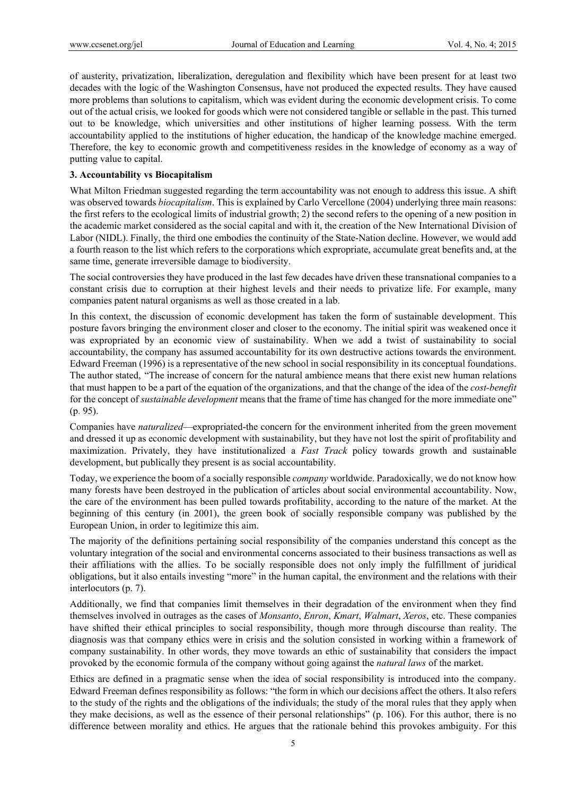of austerity, privatization, liberalization, deregulation and flexibility which have been present for at least two decades with the logic of the Washington Consensus, have not produced the expected results. They have caused more problems than solutions to capitalism, which was evident during the economic development crisis. To come out of the actual crisis, we looked for goods which were not considered tangible or sellable in the past. This turned out to be knowledge, which universities and other institutions of higher learning possess. With the term accountability applied to the institutions of higher education, the handicap of the knowledge machine emerged. Therefore, the key to economic growth and competitiveness resides in the knowledge of economy as a way of putting value to capital.

# **3. Accountability vs Biocapitalism**

What Milton Friedman suggested regarding the term accountability was not enough to address this issue. A shift was observed towards *biocapitalism*. This is explained by Carlo Vercellone (2004) underlying three main reasons: the first refers to the ecological limits of industrial growth; 2) the second refers to the opening of a new position in the academic market considered as the social capital and with it, the creation of the New International Division of Labor (NIDL). Finally, the third one embodies the continuity of the State-Nation decline. However, we would add a fourth reason to the list which refers to the corporations which expropriate, accumulate great benefits and, at the same time, generate irreversible damage to biodiversity.

The social controversies they have produced in the last few decades have driven these transnational companies to a constant crisis due to corruption at their highest levels and their needs to privatize life. For example, many companies patent natural organisms as well as those created in a lab.

In this context, the discussion of economic development has taken the form of sustainable development. This posture favors bringing the environment closer and closer to the economy. The initial spirit was weakened once it was expropriated by an economic view of sustainability. When we add a twist of sustainability to social accountability, the company has assumed accountability for its own destructive actions towards the environment. Edward Freeman (1996) is a representative of the new school in social responsibility in its conceptual foundations. The author stated, "The increase of concern for the natural ambience means that there exist new human relations that must happen to be a part of the equation of the organizations, and that the change of the idea of the *cost-benefit* for the concept of *sustainable development* means that the frame of time has changed for the more immediate one" (p. 95).

Companies have *naturalized*—expropriated-the concern for the environment inherited from the green movement and dressed it up as economic development with sustainability, but they have not lost the spirit of profitability and maximization. Privately, they have institutionalized a *Fast Track* policy towards growth and sustainable development, but publically they present is as social accountability.

Today, we experience the boom of a socially responsible *company* worldwide. Paradoxically, we do not know how many forests have been destroyed in the publication of articles about social environmental accountability. Now, the care of the environment has been pulled towards profitability, according to the nature of the market. At the beginning of this century (in 2001), the green book of socially responsible company was published by the European Union, in order to legitimize this aim.

The majority of the definitions pertaining social responsibility of the companies understand this concept as the voluntary integration of the social and environmental concerns associated to their business transactions as well as their affiliations with the allies. To be socially responsible does not only imply the fulfillment of juridical obligations, but it also entails investing "more" in the human capital, the environment and the relations with their interlocutors (p. 7).

Additionally, we find that companies limit themselves in their degradation of the environment when they find themselves involved in outrages as the cases of *Monsanto*, *Enron*, *Kmart*, *Walmart*, *Xeros*, etc. These companies have shifted their ethical principles to social responsibility, though more through discourse than reality. The diagnosis was that company ethics were in crisis and the solution consisted in working within a framework of company sustainability. In other words, they move towards an ethic of sustainability that considers the impact provoked by the economic formula of the company without going against the *natural laws* of the market.

Ethics are defined in a pragmatic sense when the idea of social responsibility is introduced into the company. Edward Freeman defines responsibility as follows: "the form in which our decisions affect the others. It also refers to the study of the rights and the obligations of the individuals; the study of the moral rules that they apply when they make decisions, as well as the essence of their personal relationships" (p. 106). For this author, there is no difference between morality and ethics. He argues that the rationale behind this provokes ambiguity. For this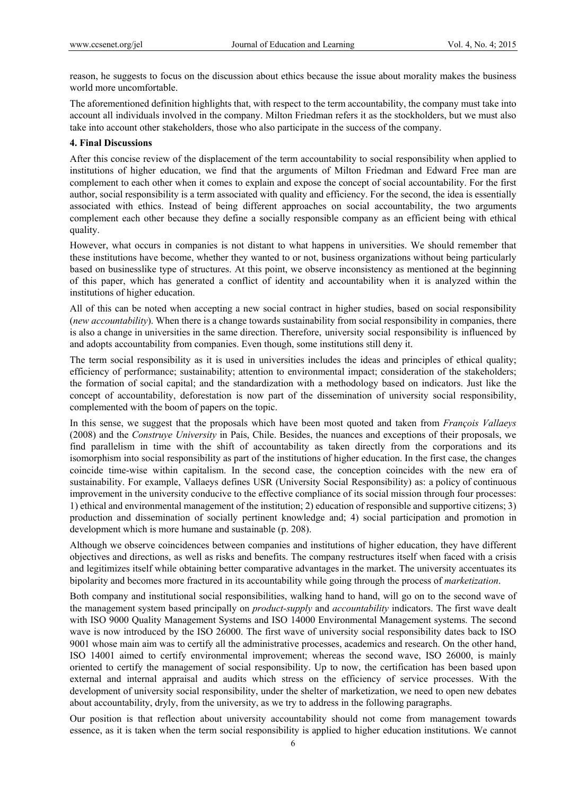reason, he suggests to focus on the discussion about ethics because the issue about morality makes the business world more uncomfortable.

The aforementioned definition highlights that, with respect to the term accountability, the company must take into account all individuals involved in the company. Milton Friedman refers it as the stockholders, but we must also take into account other stakeholders, those who also participate in the success of the company.

#### **4. Final Discussions**

After this concise review of the displacement of the term accountability to social responsibility when applied to institutions of higher education, we find that the arguments of Milton Friedman and Edward Free man are complement to each other when it comes to explain and expose the concept of social accountability. For the first author, social responsibility is a term associated with quality and efficiency. For the second, the idea is essentially associated with ethics. Instead of being different approaches on social accountability, the two arguments complement each other because they define a socially responsible company as an efficient being with ethical quality.

However, what occurs in companies is not distant to what happens in universities. We should remember that these institutions have become, whether they wanted to or not, business organizations without being particularly based on businesslike type of structures. At this point, we observe inconsistency as mentioned at the beginning of this paper, which has generated a conflict of identity and accountability when it is analyzed within the institutions of higher education.

All of this can be noted when accepting a new social contract in higher studies, based on social responsibility (*new accountability*). When there is a change towards sustainability from social responsibility in companies, there is also a change in universities in the same direction. Therefore, university social responsibility is influenced by and adopts accountability from companies. Even though, some institutions still deny it.

The term social responsibility as it is used in universities includes the ideas and principles of ethical quality; efficiency of performance; sustainability; attention to environmental impact; consideration of the stakeholders; the formation of social capital; and the standardization with a methodology based on indicators. Just like the concept of accountability, deforestation is now part of the dissemination of university social responsibility, complemented with the boom of papers on the topic.

In this sense, we suggest that the proposals which have been most quoted and taken from *François Vallaeys*  (2008) and the *Construye University* in País, Chile. Besides, the nuances and exceptions of their proposals, we find parallelism in time with the shift of accountability as taken directly from the corporations and its isomorphism into social responsibility as part of the institutions of higher education. In the first case, the changes coincide time-wise within capitalism. In the second case, the conception coincides with the new era of sustainability. For example, Vallaeys defines USR (University Social Responsibility) as: a policy of continuous improvement in the university conducive to the effective compliance of its social mission through four processes: 1) ethical and environmental management of the institution; 2) education of responsible and supportive citizens; 3) production and dissemination of socially pertinent knowledge and; 4) social participation and promotion in development which is more humane and sustainable (p. 208).

Although we observe coincidences between companies and institutions of higher education, they have different objectives and directions, as well as risks and benefits. The company restructures itself when faced with a crisis and legitimizes itself while obtaining better comparative advantages in the market. The university accentuates its bipolarity and becomes more fractured in its accountability while going through the process of *marketization*.

Both company and institutional social responsibilities, walking hand to hand, will go on to the second wave of the management system based principally on *product-supply* and *accountability* indicators. The first wave dealt with ISO 9000 Quality Management Systems and ISO 14000 Environmental Management systems. The second wave is now introduced by the ISO 26000. The first wave of university social responsibility dates back to ISO 9001 whose main aim was to certify all the administrative processes, academics and research. On the other hand, ISO 14001 aimed to certify environmental improvement; whereas the second wave, ISO 26000, is mainly oriented to certify the management of social responsibility. Up to now, the certification has been based upon external and internal appraisal and audits which stress on the efficiency of service processes. With the development of university social responsibility, under the shelter of marketization, we need to open new debates about accountability, dryly, from the university, as we try to address in the following paragraphs.

Our position is that reflection about university accountability should not come from management towards essence, as it is taken when the term social responsibility is applied to higher education institutions. We cannot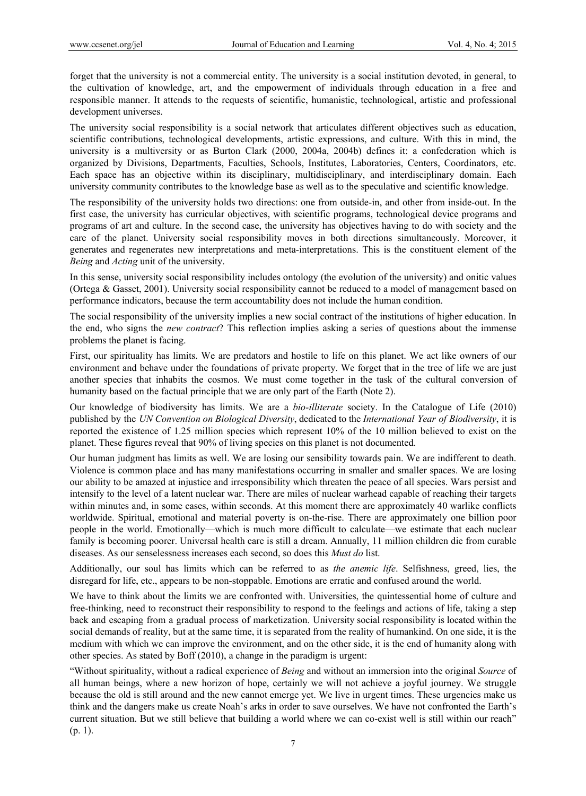forget that the university is not a commercial entity. The university is a social institution devoted, in general, to the cultivation of knowledge, art, and the empowerment of individuals through education in a free and responsible manner. It attends to the requests of scientific, humanistic, technological, artistic and professional development universes.

The university social responsibility is a social network that articulates different objectives such as education, scientific contributions, technological developments, artistic expressions, and culture. With this in mind, the university is a multiversity or as Burton Clark (2000, 2004a, 2004b) defines it: a confederation which is organized by Divisions, Departments, Faculties, Schools, Institutes, Laboratories, Centers, Coordinators, etc. Each space has an objective within its disciplinary, multidisciplinary, and interdisciplinary domain. Each university community contributes to the knowledge base as well as to the speculative and scientific knowledge.

The responsibility of the university holds two directions: one from outside-in, and other from inside-out. In the first case, the university has curricular objectives, with scientific programs, technological device programs and programs of art and culture. In the second case, the university has objectives having to do with society and the care of the planet. University social responsibility moves in both directions simultaneously. Moreover, it generates and regenerates new interpretations and meta-interpretations. This is the constituent element of the *Being* and *Acting* unit of the university.

In this sense, university social responsibility includes ontology (the evolution of the university) and onitic values (Ortega & Gasset, 2001). University social responsibility cannot be reduced to a model of management based on performance indicators, because the term accountability does not include the human condition.

The social responsibility of the university implies a new social contract of the institutions of higher education. In the end, who signs the *new contract*? This reflection implies asking a series of questions about the immense problems the planet is facing.

First, our spirituality has limits. We are predators and hostile to life on this planet. We act like owners of our environment and behave under the foundations of private property. We forget that in the tree of life we are just another species that inhabits the cosmos. We must come together in the task of the cultural conversion of humanity based on the factual principle that we are only part of the Earth (Note 2).

Our knowledge of biodiversity has limits. We are a *bio-illiterate* society. In the Catalogue of Life (2010) published by the *UN Convention on Biological Diversity*, dedicated to the *International Year of Biodiversity*, it is reported the existence of 1.25 million species which represent 10% of the 10 million believed to exist on the planet. These figures reveal that 90% of living species on this planet is not documented.

Our human judgment has limits as well. We are losing our sensibility towards pain. We are indifferent to death. Violence is common place and has many manifestations occurring in smaller and smaller spaces. We are losing our ability to be amazed at injustice and irresponsibility which threaten the peace of all species. Wars persist and intensify to the level of a latent nuclear war. There are miles of nuclear warhead capable of reaching their targets within minutes and, in some cases, within seconds. At this moment there are approximately 40 warlike conflicts worldwide. Spiritual, emotional and material poverty is on-the-rise. There are approximately one billion poor people in the world. Emotionally—which is much more difficult to calculate—we estimate that each nuclear family is becoming poorer. Universal health care is still a dream. Annually, 11 million children die from curable diseases. As our senselessness increases each second, so does this *Must do* list.

Additionally, our soul has limits which can be referred to as *the anemic life*. Selfishness, greed, lies, the disregard for life, etc., appears to be non-stoppable. Emotions are erratic and confused around the world.

We have to think about the limits we are confronted with. Universities, the quintessential home of culture and free-thinking, need to reconstruct their responsibility to respond to the feelings and actions of life, taking a step back and escaping from a gradual process of marketization. University social responsibility is located within the social demands of reality, but at the same time, it is separated from the reality of humankind. On one side, it is the medium with which we can improve the environment, and on the other side, it is the end of humanity along with other species. As stated by Boff (2010), a change in the paradigm is urgent:

"Without spirituality, without a radical experience of *Being* and without an immersion into the original *Source* of all human beings, where a new horizon of hope, certainly we will not achieve a joyful journey. We struggle because the old is still around and the new cannot emerge yet. We live in urgent times. These urgencies make us think and the dangers make us create Noah's arks in order to save ourselves. We have not confronted the Earth's current situation. But we still believe that building a world where we can co-exist well is still within our reach" (p. 1).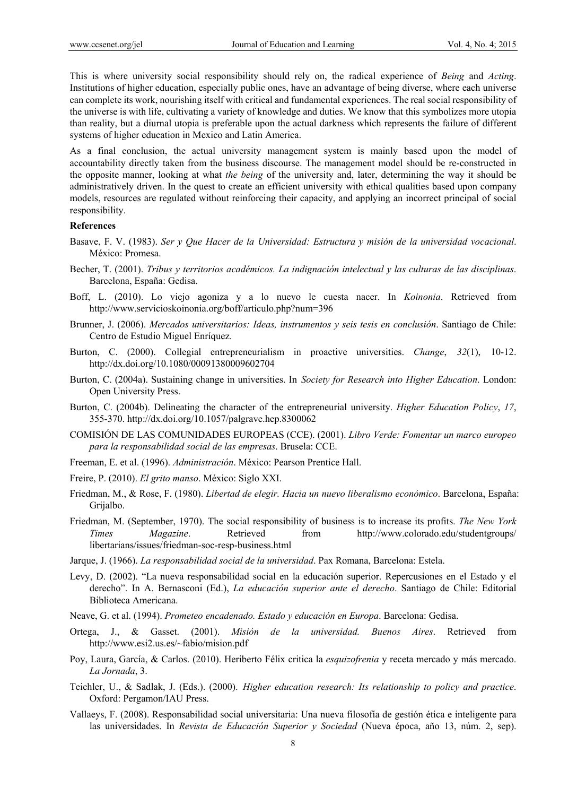This is where university social responsibility should rely on, the radical experience of *Being* and *Acting*. Institutions of higher education, especially public ones, have an advantage of being diverse, where each universe can complete its work, nourishing itself with critical and fundamental experiences. The real social responsibility of the universe is with life, cultivating a variety of knowledge and duties. We know that this symbolizes more utopia than reality, but a diurnal utopia is preferable upon the actual darkness which represents the failure of different systems of higher education in Mexico and Latin America.

As a final conclusion, the actual university management system is mainly based upon the model of accountability directly taken from the business discourse. The management model should be re-constructed in the opposite manner, looking at what *the being* of the university and, later, determining the way it should be administratively driven. In the quest to create an efficient university with ethical qualities based upon company models, resources are regulated without reinforcing their capacity, and applying an incorrect principal of social responsibility.

#### **References**

- Basave, F. V. (1983). *Ser y Que Hacer de la Universidad: Estructura y misión de la universidad vocacional*. México: Promesa.
- Becher, T. (2001). *Tribus y territorios académicos. La indignación intelectual y las culturas de las disciplinas*. Barcelona, España: Gedisa.
- Boff, L. (2010). Lo viejo agoniza y a lo nuevo le cuesta nacer. In *Koinonia*. Retrieved from http://www.servicioskoinonia.org/boff/articulo.php?num=396
- Brunner, J. (2006). *Mercados universitarios: Ideas, instrumentos y seis tesis en conclusión*. Santiago de Chile: Centro de Estudio Miguel Enríquez.
- Burton, C. (2000). Collegial entrepreneurialism in proactive universities. *Change*, *32*(1), 10-12. http://dx.doi.org/10.1080/00091380009602704
- Burton, C. (2004a). Sustaining change in universities. In *Society for Research into Higher Education*. London: Open University Press.
- Burton, C. (2004b). Delineating the character of the entrepreneurial university. *Higher Education Policy*, *17*, 355-370. http://dx.doi.org/10.1057/palgrave.hep.8300062
- COMISIÓN DE LAS COMUNIDADES EUROPEAS (CCE). (2001). *Libro Verde: Fomentar un marco europeo para la responsabilidad social de las empresas*. Brusela: CCE.
- Freeman, E. et al. (1996). *Administración*. México: Pearson Prentice Hall.
- Freire, P. (2010). *El grito manso*. México: Siglo XXI.
- Friedman, M., & Rose, F. (1980). *Libertad de elegir. Hacia un nuevo liberalismo económico*. Barcelona, España: Grijalbo.
- Friedman, M. (September, 1970). The social responsibility of business is to increase its profits. *The New York Times Magazine*. Retrieved from http://www.colorado.edu/studentgroups/ libertarians/issues/friedman-soc-resp-business.html
- Jarque, J. (1966). *La responsabilidad social de la universidad*. Pax Romana, Barcelona: Estela.
- Levy, D. (2002). "La nueva responsabilidad social en la educación superior. Repercusiones en el Estado y el derecho". In A. Bernasconi (Ed.), *La educación superior ante el derecho*. Santiago de Chile: Editorial Biblioteca Americana.
- Neave, G. et al. (1994). *Prometeo encadenado. Estado y educación en Europa*. Barcelona: Gedisa.
- Ortega, J., & Gasset. (2001). *Misión de la universidad. Buenos Aires*. Retrieved from http://www.esi2.us.es/~fabio/mision.pdf
- Poy, Laura, García, & Carlos. (2010). Heriberto Félix critica la *esquizofrenia* y receta mercado y más mercado. *La Jornada*, 3.
- Teichler, U., & Sadlak, J. (Eds.). (2000). *Higher education research: Its relationship to policy and practice*. Oxford: Pergamon/IAU Press.
- Vallaeys, F. (2008). Responsabilidad social universitaria: Una nueva filosofía de gestión ética e inteligente para las universidades. In *Revista de Educación Superior y Sociedad* (Nueva época, año 13, núm. 2, sep).